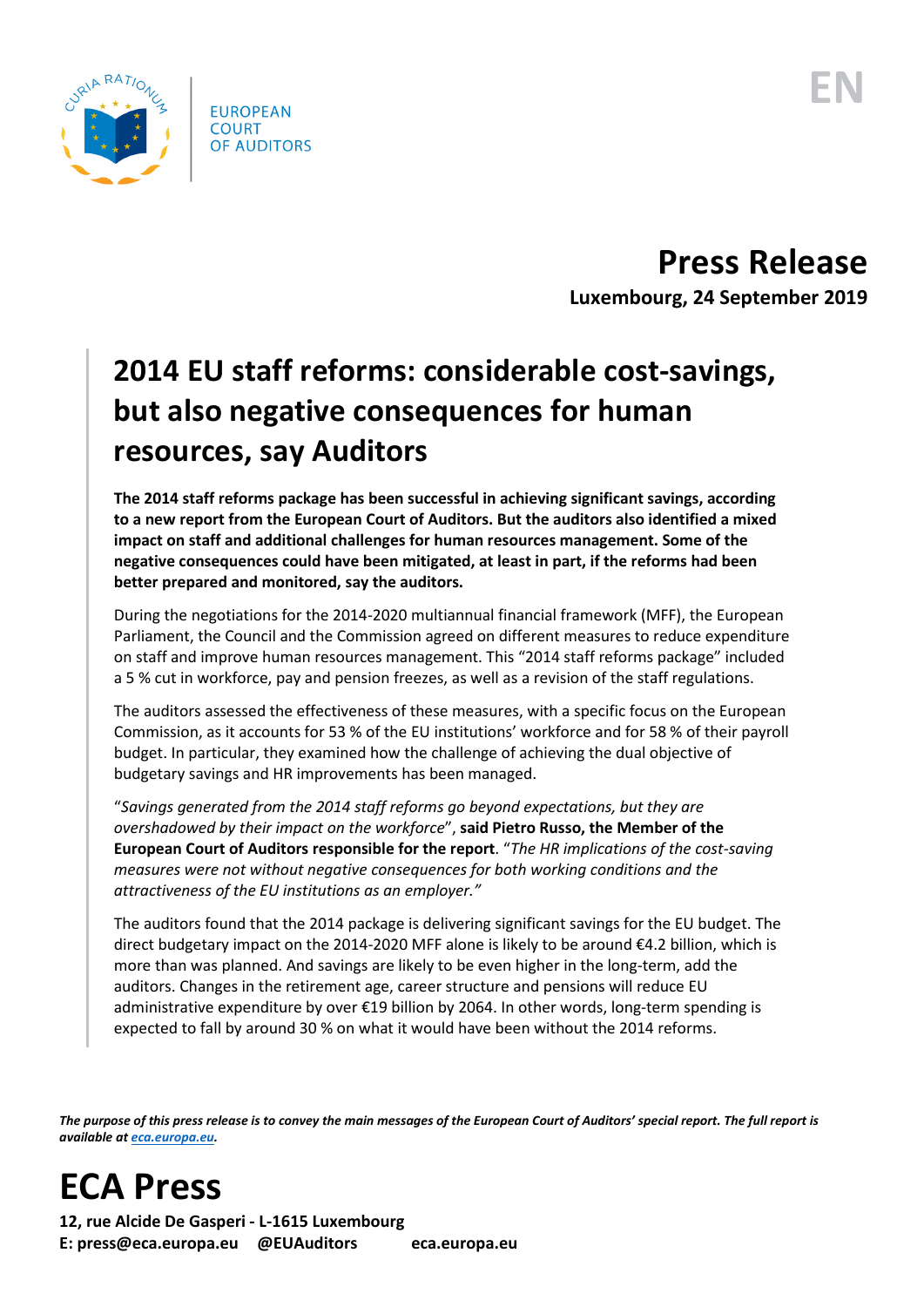

**Press Release Luxembourg, 24 September 2019**

## **2014 EU staff reforms: considerable cost-savings, but also negative consequences for human resources, say Auditors**

**The 2014 staff reforms package has been successful in achieving significant savings, according to a new report from the European Court of Auditors. But the auditors also identified a mixed impact on staff and additional challenges for human resources management. Some of the negative consequences could have been mitigated, at least in part, if the reforms had been better prepared and monitored, say the auditors.**

During the negotiations for the 2014-2020 multiannual financial framework (MFF), the European Parliament, the Council and the Commission agreed on different measures to reduce expenditure on staff and improve human resources management. This "2014 staff reforms package" included a 5 % cut in workforce, pay and pension freezes, as well as a revision of the staff regulations.

The auditors assessed the effectiveness of these measures, with a specific focus on the European Commission, as it accounts for 53 % of the EU institutions' workforce and for 58 % of their payroll budget. In particular, they examined how the challenge of achieving the dual objective of budgetary savings and HR improvements has been managed.

"*Savings generated from the 2014 staff reforms go beyond expectations, but they are overshadowed by their impact on the workforce*", **said Pietro Russo, the Member of the European Court of Auditors responsible for the report**. "*The HR implications of the cost-saving measures were not without negative consequences for both working conditions and the attractiveness of the EU institutions as an employer."*

The auditors found that the 2014 package is delivering significant savings for the EU budget. The direct budgetary impact on the 2014-2020 MFF alone is likely to be around €4.2 billion, which is more than was planned. And savings are likely to be even higher in the long-term, add the auditors. Changes in the retirement age, career structure and pensions will reduce EU administrative expenditure by over €19 billion by 2064. In other words, long-term spending is expected to fall by around 30 % on what it would have been without the 2014 reforms.

*The purpose of this press release is to convey the main messages of the European Court of Auditors' special report. The full report is available at [eca.europa.eu.](https://www.eca.europa.eu/)*

**ECA Press**

**12, rue Alcide De Gasperi - L-1615 Luxembourg E: press@eca.europa.eu @EUAuditors eca.europa.eu**